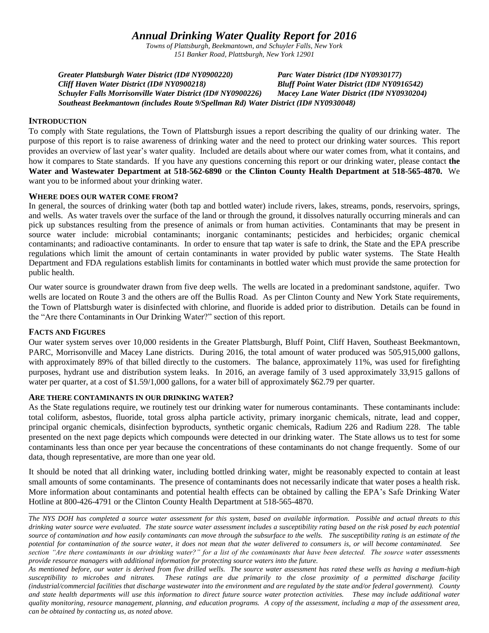# *Annual Drinking Water Quality Report for 2016*

*Towns of Plattsburgh, Beekmantown, and Schuyler Falls, New York 151 Banker Road, Plattsburgh, New York 12901*

*Greater Plattsburgh Water District (ID# NY0900220) Parc Water District (ID# NY0930177) Cliff Haven Water District (ID# NY0900218) Bluff Point Water District (ID# NY0916542) Schuyler Falls Morrisonville Water District (ID# NY0900226) Macey Lane Water District (ID# NY0930204) Southeast Beekmantown (includes Route 9/Spellman Rd) Water District (ID# NY0930048)*

# **INTRODUCTION**

To comply with State regulations, the Town of Plattsburgh issues a report describing the quality of our drinking water. The purpose of this report is to raise awareness of drinking water and the need to protect our drinking water sources. This report provides an overview of last year's water quality. Included are details about where our water comes from, what it contains, and how it compares to State standards. If you have any questions concerning this report or our drinking water, please contact **the Water and Wastewater Department at 518-562-6890** or **the Clinton County Health Department at 518-565-4870.** We want you to be informed about your drinking water.

# **WHERE DOES OUR WATER COME FROM?**

In general, the sources of drinking water (both tap and bottled water) include rivers, lakes, streams, ponds, reservoirs, springs, and wells. As water travels over the surface of the land or through the ground, it dissolves naturally occurring minerals and can pick up substances resulting from the presence of animals or from human activities. Contaminants that may be present in source water include: microbial contaminants; inorganic contaminants; pesticides and herbicides; organic chemical contaminants; and radioactive contaminants. In order to ensure that tap water is safe to drink, the State and the EPA prescribe regulations which limit the amount of certain contaminants in water provided by public water systems. The State Health Department and FDA regulations establish limits for contaminants in bottled water which must provide the same protection for public health.

Our water source is groundwater drawn from five deep wells. The wells are located in a predominant sandstone, aquifer. Two wells are located on Route 3 and the others are off the Bullis Road. As per Clinton County and New York State requirements, the Town of Plattsburgh water is disinfected with chlorine, and fluoride is added prior to distribution. Details can be found in the "Are there Contaminants in Our Drinking Water?" section of this report.

# **FACTS AND FIGURES**

Our water system serves over 10,000 residents in the Greater Plattsburgh, Bluff Point, Cliff Haven, Southeast Beekmantown, PARC, Morrisonville and Macey Lane districts. During 2016, the total amount of water produced was 505,915,000 gallons, with approximately 89% of that billed directly to the customers. The balance, approximately 11%, was used for firefighting purposes, hydrant use and distribution system leaks. In 2016, an average family of 3 used approximately 33,915 gallons of water per quarter, at a cost of \$1.59/1,000 gallons, for a water bill of approximately \$62.79 per quarter.

# **ARE THERE CONTAMINANTS IN OUR DRINKING WATER?**

As the State regulations require, we routinely test our drinking water for numerous contaminants. These contaminants include: total coliform, asbestos, fluoride, total gross alpha particle activity, primary inorganic chemicals, nitrate, lead and copper, principal organic chemicals, disinfection byproducts, synthetic organic chemicals, Radium 226 and Radium 228. The table presented on the next page depicts which compounds were detected in our drinking water. The State allows us to test for some contaminants less than once per year because the concentrations of these contaminants do not change frequently. Some of our data, though representative, are more than one year old.

It should be noted that all drinking water, including bottled drinking water, might be reasonably expected to contain at least small amounts of some contaminants. The presence of contaminants does not necessarily indicate that water poses a health risk. More information about contaminants and potential health effects can be obtained by calling the EPA's Safe Drinking Water Hotline at 800-426-4791 or the Clinton County Health Department at 518-565-4870.

*The NYS DOH has completed a source water assessment for this system, based on available information. Possible and actual threats to this drinking water source were evaluated. The state source water assessment includes a susceptibility rating based on the risk posed by each potential source of contamination and how easily contaminants can move through the subsurface to the wells. The susceptibility rating is an estimate of the potential for contamination of the source water, it does not mean that the water delivered to consumers is, or will become contaminated. See section "Are there contaminants in our drinking water?" for a list of the contaminants that have been detected. The source water assessments provide resource managers with additional information for protecting source waters into the future.* 

*As mentioned before, our water is derived from five drilled wells. The source water assessment has rated these wells as having a medium-high susceptibility to microbes and nitrates. These ratings are due primarily to the close proximity of a permitted discharge facility (industrial/commercial facilities that discharge wastewater into the environment and are regulated by the state and/or federal government). County and state health departments will use this information to direct future source water protection activities. These may include additional water quality monitoring, resource management, planning, and education programs. A copy of the assessment, including a map of the assessment area, can be obtained by contacting us, as noted above.*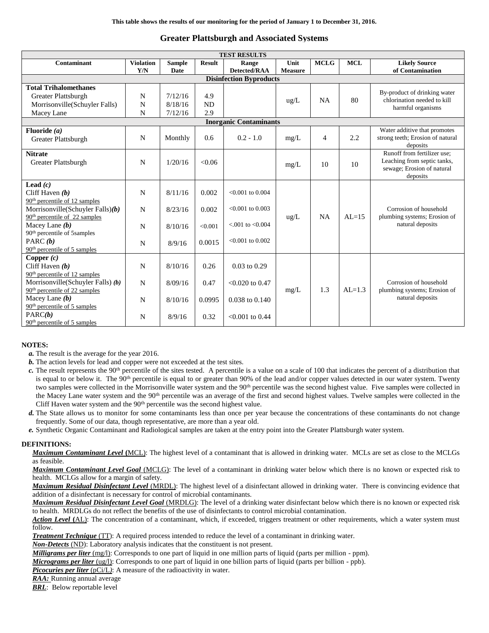# **Greater Plattsburgh and Associated Systems**

| <b>TEST RESULTS</b>                       |                  |               |               |                        |                |                |            |                                                             |  |  |
|-------------------------------------------|------------------|---------------|---------------|------------------------|----------------|----------------|------------|-------------------------------------------------------------|--|--|
| Contaminant                               | <b>Violation</b> | <b>Sample</b> | <b>Result</b> | Range                  | Unit           | <b>MCLG</b>    | <b>MCL</b> | <b>Likely Source</b>                                        |  |  |
|                                           | Y/N              | Date          |               | <b>Detected/RAA</b>    | <b>Measure</b> |                |            | of Contamination                                            |  |  |
| <b>Disinfection Byproducts</b>            |                  |               |               |                        |                |                |            |                                                             |  |  |
| <b>Total Trihalomethanes</b>              |                  |               |               |                        |                |                |            |                                                             |  |  |
| Greater Plattsburgh                       | N                | 7/12/16       | 4.9           |                        |                | <b>NA</b>      | 80         | By-product of drinking water<br>chlorination needed to kill |  |  |
| Morrisonville(Schuyler Falls)             | N                | 8/18/16       | <b>ND</b>     |                        | $\text{ug/L}$  |                |            | harmful organisms                                           |  |  |
| Macey Lane                                | N                | 7/12/16       | 2.9           |                        |                |                |            |                                                             |  |  |
| <b>Inorganic Contaminants</b>             |                  |               |               |                        |                |                |            |                                                             |  |  |
| Fluoride $(a)$                            |                  |               |               |                        |                |                |            | Water additive that promotes                                |  |  |
| Greater Plattsburgh                       | N                | Monthly       | 0.6           | $0.2 - 1.0$            | mg/L           | $\overline{4}$ | 2.2        | strong teeth; Erosion of natural                            |  |  |
|                                           |                  |               |               |                        |                |                |            | deposits                                                    |  |  |
| <b>Nitrate</b>                            |                  |               |               |                        |                |                |            | Runoff from fertilizer use:                                 |  |  |
| Greater Plattsburgh                       | N                | 1/20/16       | < 0.06        |                        | mg/L           | 10             | 10         | Leaching from septic tanks,<br>sewage; Erosion of natural   |  |  |
|                                           |                  |               |               |                        |                |                |            | deposits                                                    |  |  |
| Lead $(c)$                                |                  |               |               |                        |                |                |            |                                                             |  |  |
| Cliff Haven $(b)$                         | N                | 8/11/16       | 0.002         | $< 0.001$ to 0.004     |                |                |            |                                                             |  |  |
| $90th$ percentile of 12 samples           |                  |               |               |                        |                |                |            |                                                             |  |  |
| Morrisonville(Schuyler Falls) $(b)$       | N                | 8/23/16       | 0.002         | $< 0.001$ to 0.003     |                |                |            | Corrosion of household                                      |  |  |
| $90th$ percentile of 22 samples           |                  |               |               |                        | $\text{ug/L}$  | <b>NA</b>      | $AL=15$    | plumbing systems; Erosion of                                |  |  |
| Macey Lane $(b)$                          | N                | 8/10/16       | < 0.001       | $< 0.001$ to $< 0.004$ |                |                |            | natural deposits                                            |  |  |
| 90 <sup>th</sup> percentile of 5samples   |                  |               |               |                        |                |                |            |                                                             |  |  |
| PARC $(b)$                                | N                | 8/9/16        | 0.0015        | $< 0.001$ to $0.002$   |                |                |            |                                                             |  |  |
| $90th$ percentile of 5 samples            |                  |               |               |                        |                |                |            |                                                             |  |  |
| Copper $(c)$                              |                  |               |               |                        |                |                |            |                                                             |  |  |
| Cliff Haven $(b)$                         | N                | 8/10/16       | 0.26          | $0.03$ to $0.29$       |                |                |            |                                                             |  |  |
| 90 <sup>th</sup> percentile of 12 samples |                  |               |               |                        |                |                |            |                                                             |  |  |
| Morrisonville(Schuyler Falls) (b)         | N                | 8/09/16       | 0.47          | $< 0.020$ to 0.47      |                |                |            | Corrosion of household                                      |  |  |
| $90th$ percentile of 22 samples           |                  |               |               |                        | mg/L           | 1.3            | $AI = 1.3$ | plumbing systems; Erosion of                                |  |  |
| Macey Lane $(b)$                          | N                | 8/10/16       | 0.0995        | 0.038 to 0.140         |                |                |            | natural deposits                                            |  |  |
| $90th$ percentile of 5 samples            |                  |               |               |                        |                |                |            |                                                             |  |  |
| PARC(b)                                   | N                | 8/9/16        | 0.32          | $< 0.001$ to 0.44      |                |                |            |                                                             |  |  |
| 90 <sup>th</sup> percentile of 5 samples  |                  |               |               |                        |                |                |            |                                                             |  |  |

#### **NOTES:**

- *a.* The result is the average for the year 2016.
- *b.* The action levels for lead and copper were not exceeded at the test sites.
- $c$ . The result represents the 90<sup>th</sup> percentile of the sites tested. A percentile is a value on a scale of 100 that indicates the percent of a distribution that is equal to or below it. The 90<sup>th</sup> percentile is equal to or greater than 90% of the lead and/or copper values detected in our water system. Twenty two samples were collected in the Morrisonville water system and the 90<sup>th</sup> percentile was the second highest value. Five samples were collected in the Macey Lane water system and the 90<sup>th</sup> percentile was an average of the first and second highest values. Twelve samples were collected in the Cliff Haven water system and the  $90<sup>th</sup>$  percentile was the second highest value.
- *d.* The State allows us to monitor for some contaminants less than once per year because the concentrations of these contaminants do not change frequently. Some of our data, though representative, are more than a year old.
- *e.* Synthetic Organic Contaminant and Radiological samples are taken at the entry point into the Greater Plattsburgh water system.

#### **DEFINITIONS:**

*Maximum Contaminant Level* **(**MCL): The highest level of a contaminant that is allowed in drinking water. MCLs are set as close to the MCLGs as feasible.

*Maximum Contaminant Level Goal* (MCLG): The level of a contaminant in drinking water below which there is no known or expected risk to health. MCLGs allow for a margin of safety.

*Maximum Residual Disinfectant Level* (MRDL): The highest level of a disinfectant allowed in drinking water. There is convincing evidence that addition of a disinfectant is necessary for control of microbial contaminants.

*Maximum Residual Disinfectant Level Goal* (MRDLG): The level of a drinking water disinfectant below which there is no known or expected risk to health. MRDLGs do not reflect the benefits of the use of disinfectants to control microbial contamination.

*Action Level* **(**AL): The concentration of a contaminant, which, if exceeded, triggers treatment or other requirements, which a water system must follow.

*Treatment Technique* (TT): A required process intended to reduce the level of a contaminant in drinking water.

*Non-Detects* (ND): Laboratory analysis indicates that the constituent is not present.

*Milligrams per liter* (mg/l): Corresponds to one part of liquid in one million parts of liquid (parts per million - ppm).

*Micrograms per liter* (ug/l): Corresponds to one part of liquid in one billion parts of liquid (parts per billion - ppb).

*Picocuries per liter* (pCi/L): A measure of the radioactivity in water.

*RAA:* Running annual average

*BRL*: Below reportable level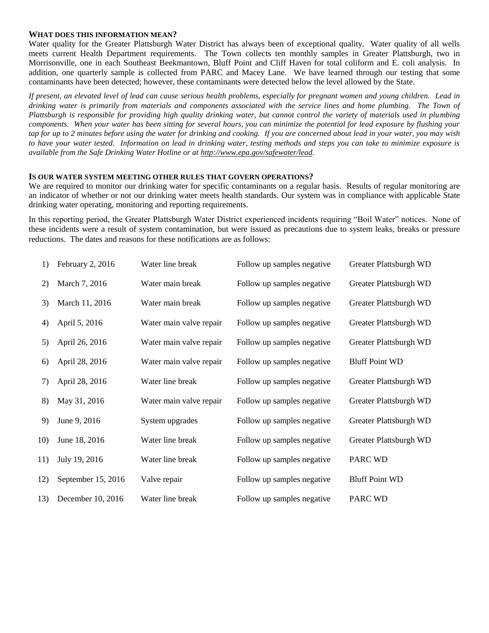### **WHAT DOES THIS INFORMATION MEAN?**

Water quality for the Greater Plattsburgh Water District has always been of exceptional quality. Water quality of all wells meets current Health Department requirements. The Town collects ten monthly samples in Greater Plattsburgh, two in Morrisonville, one in each Southeast Beekmantown, Bluff Point and Cliff Haven for total coliform and E. coli analysis. In addition, one quarterly sample is collected from PARC and Macey Lane. We have learned through our testing that some contaminants have been detected; however, these contaminants were detected below the level allowed by the State.

*If present, an elevated level of lead can cause serious health problems, especially for pregnant women and young children. Lead in drinking water is primarily from materials and components associated with the service lines and home plumbing. The Town of Plattsburgh is responsible for providing high quality drinking water, but cannot control the variety of materials used in plumbing components. When your water has been sitting for several hours, you can minimize the potential for lead exposure by flushing your tap for up to 2 minutes before using the water for drinking and cooking. If you are concerned about lead in your water, you may wish to have your water tested. Information on lead in drinking water, testing methods and steps you can take to minimize exposure is available from the Safe Drinking Water Hotline or at [http://www.epa.gov/safewater/lead.](http://www.epa.gov/safewater/lead)*

#### **IS OUR WATER SYSTEM MEETING OTHER RULES THAT GOVERN OPERATIONS?**

We are required to monitor our drinking water for specific contaminants on a regular basis. Results of regular monitoring are an indicator of whether or not our drinking water meets health standards. Our system was in compliance with applicable State drinking water operating, monitoring and reporting requirements.

In this reporting period, the Greater Plattsburgh Water District experienced incidents requiring "Boil Water" notices. None of these incidents were a result of system contamination, but were issued as precautions due to system leaks, breaks or pressure reductions. The dates and reasons for these notifications are as follows:

| 1)  | February 2, 2016   | Water line break        | Follow up samples negative | Greater Plattsburgh WD |
|-----|--------------------|-------------------------|----------------------------|------------------------|
| 2)  | March 7, 2016      | Water main break        | Follow up samples negative | Greater Plattsburgh WD |
| 3)  | March 11, 2016     | Water main break        | Follow up samples negative | Greater Plattsburgh WD |
| 4)  | April 5, 2016      | Water main valve repair | Follow up samples negative | Greater Plattsburgh WD |
| 5)  | April 26, 2016     | Water main valve repair | Follow up samples negative | Greater Plattsburgh WD |
| 6)  | April 28, 2016     | Water main valve repair | Follow up samples negative | <b>Bluff Point WD</b>  |
| 7)  | April 28, 2016     | Water line break        | Follow up samples negative | Greater Plattsburgh WD |
| 8)  | May 31, 2016       | Water main valve repair | Follow up samples negative | Greater Plattsburgh WD |
| 9)  | June 9, 2016       | System upgrades         | Follow up samples negative | Greater Plattsburgh WD |
| 10) | June 18, 2016      | Water line break        | Follow up samples negative | Greater Plattsburgh WD |
| 11) | July 19, 2016      | Water line break        | Follow up samples negative | PARC WD                |
| 12) | September 15, 2016 | Valve repair            | Follow up samples negative | <b>Bluff Point WD</b>  |
| 13) | December 10, 2016  | Water line break        | Follow up samples negative | PARC WD                |